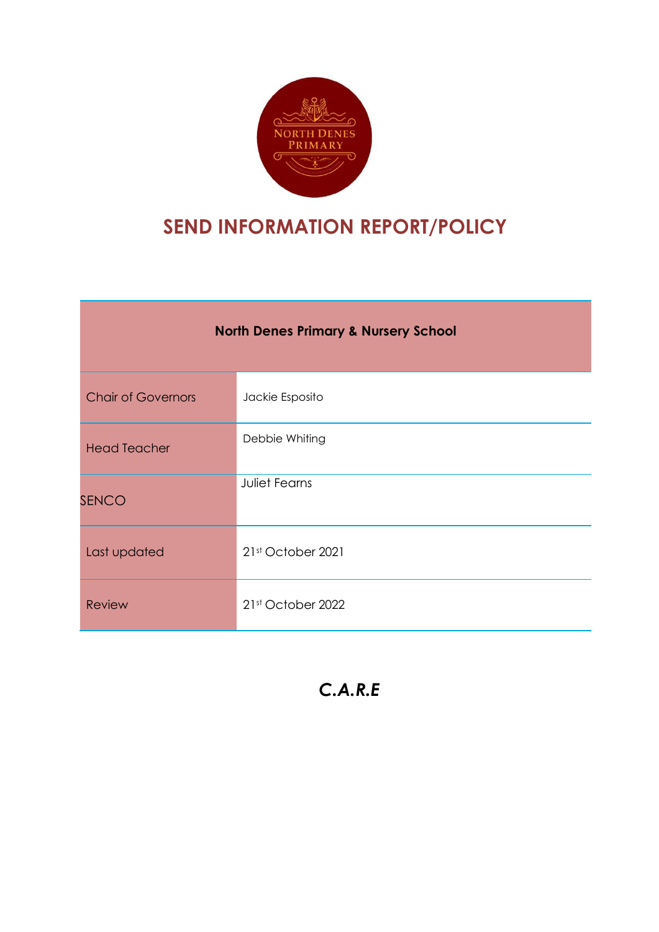

# **SEND INFORMATION REPORT/POLICY**

| <b>North Denes Primary &amp; Nursery School</b> |                      |  |  |
|-------------------------------------------------|----------------------|--|--|
| <b>Chair of Governors</b>                       | Jackie Esposito      |  |  |
| <b>Head Teacher</b>                             | Debbie Whiting       |  |  |
| <b>SENCO</b>                                    | <b>Juliet Fearns</b> |  |  |
| Last updated                                    | 21st October 2021    |  |  |
| <b>Review</b>                                   | 21st October 2022    |  |  |

*C.A.R.E*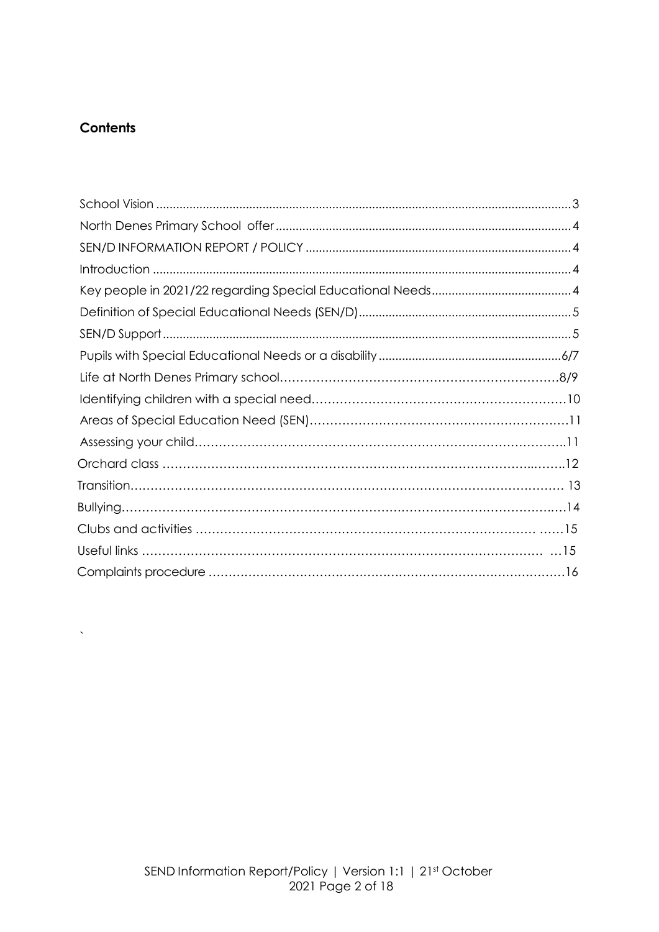# **Contents**

 $\hat{\mathbf{v}}$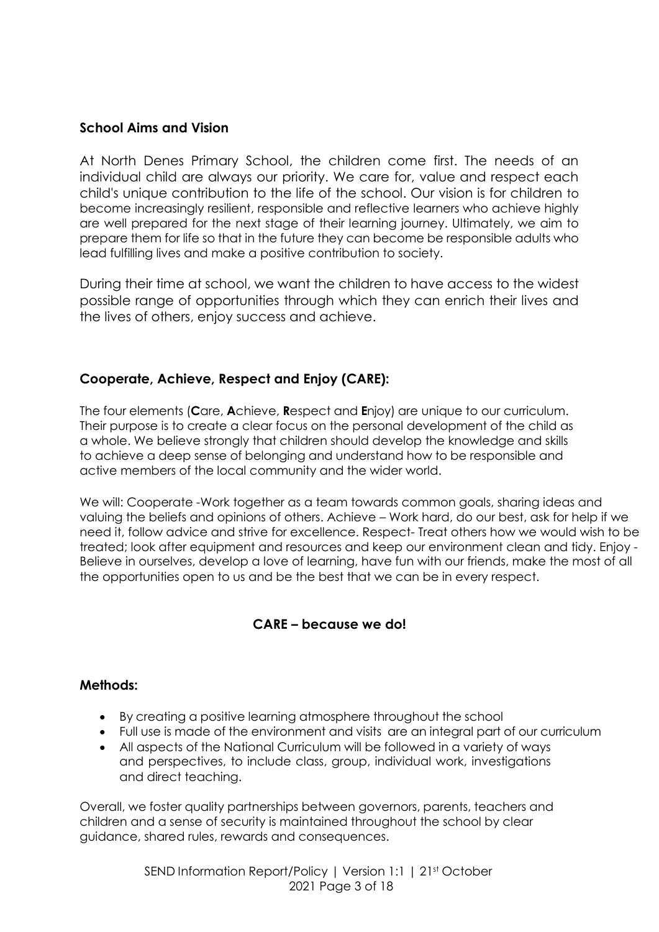# <span id="page-2-0"></span>**School Aims and Vision**

At North Denes Primary School, the children come first. The needs of an individual child are always our priority. We care for, value and respect each child's unique contribution to the life of the school. Our vision is for children to become increasingly resilient, responsible and reflective learners who achieve highly are well prepared for the next stage of their learning journey. Ultimately, we aim to prepare them for life so that in the future they can become be responsible adults who lead fulfilling lives and make a positive contribution to society.

During their time at school, we want the children to have access to the widest possible range of opportunities through which they can enrich their lives and the lives of others, enjoy success and achieve.

# **Cooperate, Achieve, Respect and Enjoy (CARE):**

The four elements (**C**are, **A**chieve, **R**espect and **E**njoy) are unique to our curriculum. Their purpose is to create a clear focus on the personal development of the child as a whole. We believe strongly that children should develop the knowledge and skills to achieve a deep sense of belonging and understand how to be responsible and active members of the local community and the wider world.

We will: Cooperate -Work together as a team towards common goals, sharing ideas and valuing the beliefs and opinions of others. Achieve – Work hard, do our best, ask for help if we need it, follow advice and strive for excellence. Respect- Treat others how we would wish to be treated; look after equipment and resources and keep our environment clean and tidy. Enjoy - Believe in ourselves, develop a love of learning, have fun with our friends, make the most of all the opportunities open to us and be the best that we can be in every respect.

# **CARE – because we do!**

# **Methods:**

- By creating a positive learning atmosphere throughout the school
- Full use is made of the environment and visits are an integral part of our curriculum
- All aspects of the National Curriculum will be followed in a variety of ways and perspectives, to include class, group, individual work, investigations and direct teaching.

Overall, we foster quality partnerships between governors, parents, teachers and children and a sense of security is maintained throughout the school by clear guidance, shared rules, rewards and consequences.

> SEND Information Report/Policy | Version 1:1 | 21st October 2021 Page 3 of 18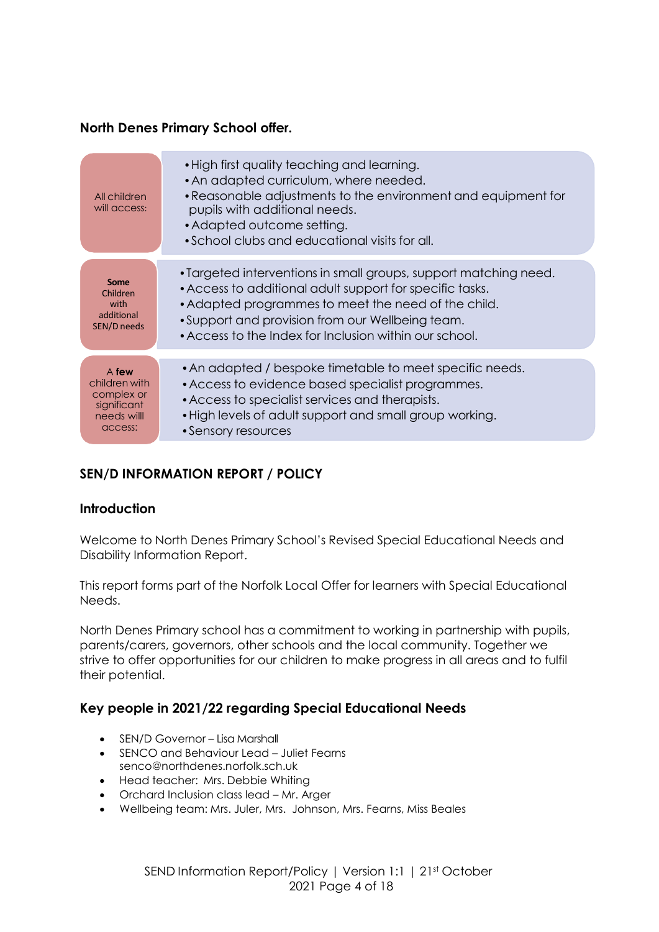# <span id="page-3-0"></span>**North Denes Primary School offer.**

| All children<br>will access:                                                 | • High first quality teaching and learning.<br>• An adapted curriculum, where needed.<br>• Reasonable adjustments to the environment and equipment for<br>pupils with additional needs.<br>• Adapted outcome setting.<br>• School clubs and educational visits for all.                           |
|------------------------------------------------------------------------------|---------------------------------------------------------------------------------------------------------------------------------------------------------------------------------------------------------------------------------------------------------------------------------------------------|
| Some<br>Children<br>with<br>additional<br>SEN/D needs                        | • Targeted interventions in small groups, support matching need.<br>• Access to additional adult support for specific tasks.<br>• Adapted programmes to meet the need of the child.<br>• Support and provision from our Wellbeing team.<br>• Access to the Index for Inclusion within our school. |
| A few<br>children with<br>complex or<br>significant<br>needs will<br>access: | • An adapted / bespoke timetable to meet specific needs.<br>• Access to evidence based specialist programmes.<br>• Access to specialist services and therapists.<br>. High levels of adult support and small group working.<br>• Sensory resources                                                |

# <span id="page-3-1"></span>**SEN/D INFORMATION REPORT / POLICY**

# <span id="page-3-2"></span>**Introduction**

Welcome to North Denes Primary School's Revised Special Educational Needs and Disability Information Report.

This report forms part of the Norfolk Local Offer for learners with Special Educational Needs.

North Denes Primary school has a commitment to working in partnership with pupils, parents/carers, governors, other schools and the local community. Together we strive to offer opportunities for our children to make progress in all areas and to fulfil their potential.

# <span id="page-3-3"></span>**Key people in 2021/22 regarding Special Educational Needs**

- SEN/D Governor Lisa Marshall
- SENCO and Behaviour Lead Juliet Fearns senco@northdenes.norfolk.sch.uk
- Head teacher: Mrs. Debbie Whiting
- Orchard Inclusion class lead Mr. Arger
- Wellbeing team: Mrs. Juler, Mrs. Johnson, Mrs. Fearns, Miss Beales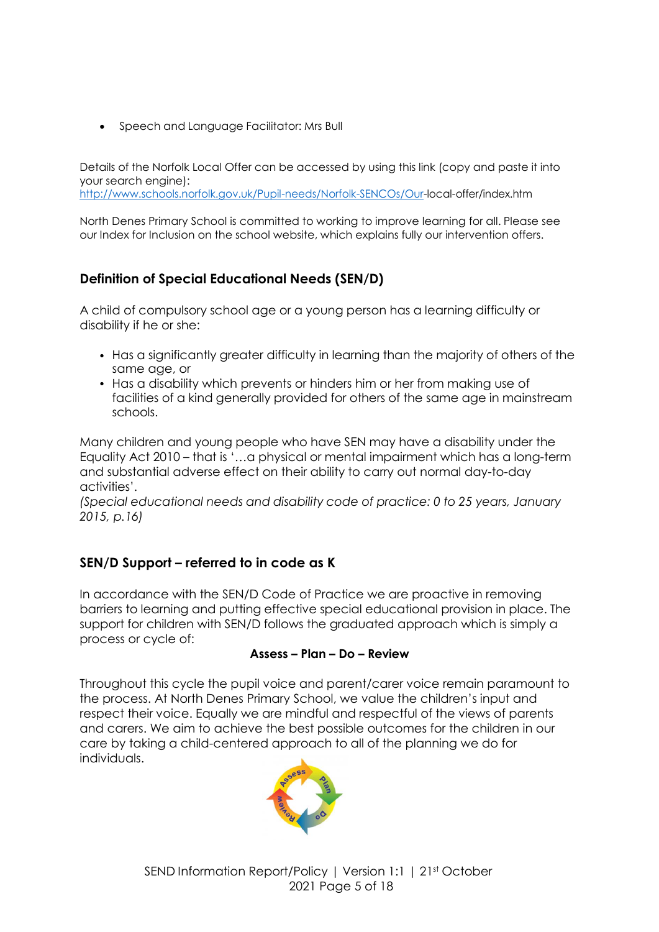Speech and Language Facilitator: Mrs Bull

Details of the Norfolk Local Offer can be accessed by using this link (copy and paste it into your search engine):

<http://www.schools.norfolk.gov.uk/Pupil-needs/Norfolk-SENCOs/Our-local-offer/index.htm>

North Denes Primary School is committed to working to improve learning for all. Please see our Index for Inclusion on the school website, which explains fully our intervention offers.

# <span id="page-4-0"></span>**Definition of Special Educational Needs (SEN/D)**

A child of compulsory school age or a young person has a learning difficulty or disability if he or she:

- Has a significantly greater difficulty in learning than the majority of others of the same age, or
- Has a disability which prevents or hinders him or her from making use of facilities of a kind generally provided for others of the same age in mainstream schools.

Many children and young people who have SEN may have a disability under the Equality Act 2010 – that is '…a physical or mental impairment which has a long-term and substantial adverse effect on their ability to carry out normal day-to-day activities'.

*(Special educational needs and disability code of practice: 0 to 25 years, January 2015, p.16)*

# <span id="page-4-1"></span>**SEN/D Support – referred to in code as K**

In accordance with the SEN/D Code of Practice we are proactive in removing barriers to learning and putting effective special educational provision in place. The support for children with SEN/D follows the graduated approach which is simply a process or cycle of:

#### **Assess – Plan – Do – Review**

Throughout this cycle the pupil voice and parent/carer voice remain paramount to the process. At North Denes Primary School, we value the children's input and respect their voice. Equally we are mindful and respectful of the views of parents and carers. We aim to achieve the best possible outcomes for the children in our care by taking a child-centered approach to all of the planning we do for individuals.

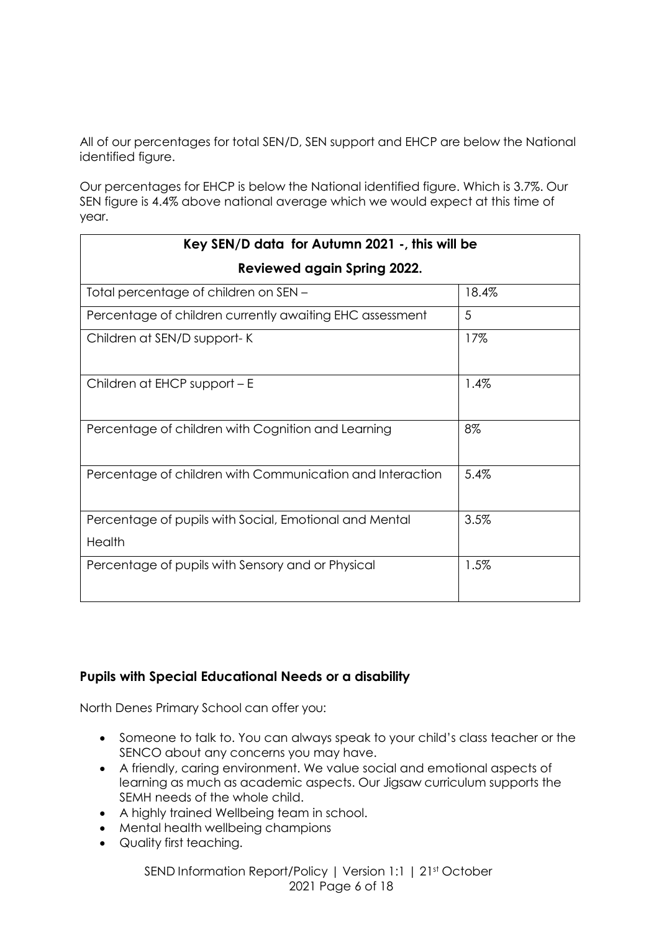All of our percentages for total SEN/D, SEN support and EHCP are below the National identified figure.

Our percentages for EHCP is below the National identified figure. Which is 3.7%. Our SEN figure is 4.4% above national average which we would expect at this time of year.

| Key SEN/D data for Autumn 2021 -, this will be                   |       |  |  |
|------------------------------------------------------------------|-------|--|--|
| <b>Reviewed again Spring 2022.</b>                               |       |  |  |
| Total percentage of children on SEN -                            | 18.4% |  |  |
| Percentage of children currently awaiting EHC assessment         | 5     |  |  |
| Children at SEN/D support-K                                      | 17%   |  |  |
| Children at EHCP support - E                                     | 1.4%  |  |  |
| Percentage of children with Cognition and Learning               | 8%    |  |  |
| Percentage of children with Communication and Interaction        | 5.4%  |  |  |
| Percentage of pupils with Social, Emotional and Mental<br>Health | 3.5%  |  |  |
| Percentage of pupils with Sensory and or Physical                | 1.5%  |  |  |

# <span id="page-5-0"></span>**Pupils with Special Educational Needs or a disability**

North Denes Primary School can offer you:

- Someone to talk to. You can always speak to your child's class teacher or the SENCO about any concerns you may have.
- A friendly, caring environment. We value social and emotional aspects of learning as much as academic aspects. Our Jigsaw curriculum supports the SEMH needs of the whole child.
- A highly trained Wellbeing team in school.
- Mental health wellbeing champions
- Quality first teaching.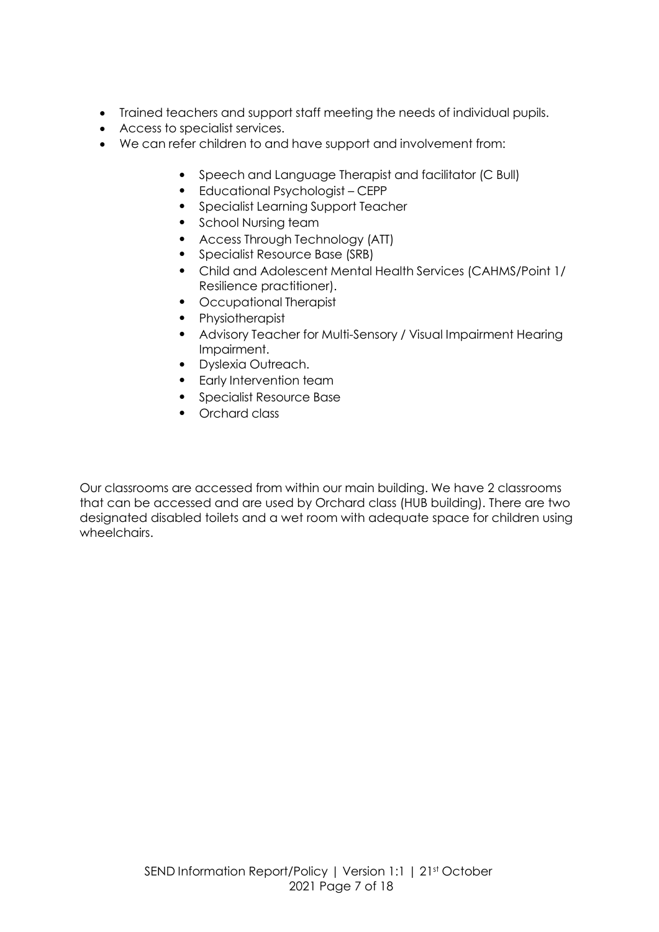- Trained teachers and support staff meeting the needs of individual pupils.
- Access to specialist services.
- We can refer children to and have support and involvement from:
	- Speech and Language Therapist and facilitator (C Bull)
	- Educational Psychologist CEPP
	- Specialist Learning Support Teacher
	- School Nursing team
	- Access Through Technology (ATT)
	- Specialist Resource Base (SRB)
	- Child and Adolescent Mental Health Services (CAHMS/Point 1/ Resilience practitioner).
	- Occupational Therapist
	- Physiotherapist
	- Advisory Teacher for Multi-Sensory / Visual Impairment Hearing Impairment.
	- Dyslexia Outreach.
	- Early Intervention team
	- Specialist Resource Base
	- Orchard class

Our classrooms are accessed from within our main building. We have 2 classrooms that can be accessed and are used by Orchard class (HUB building). There are two designated disabled toilets and a wet room with adequate space for children using wheelchairs.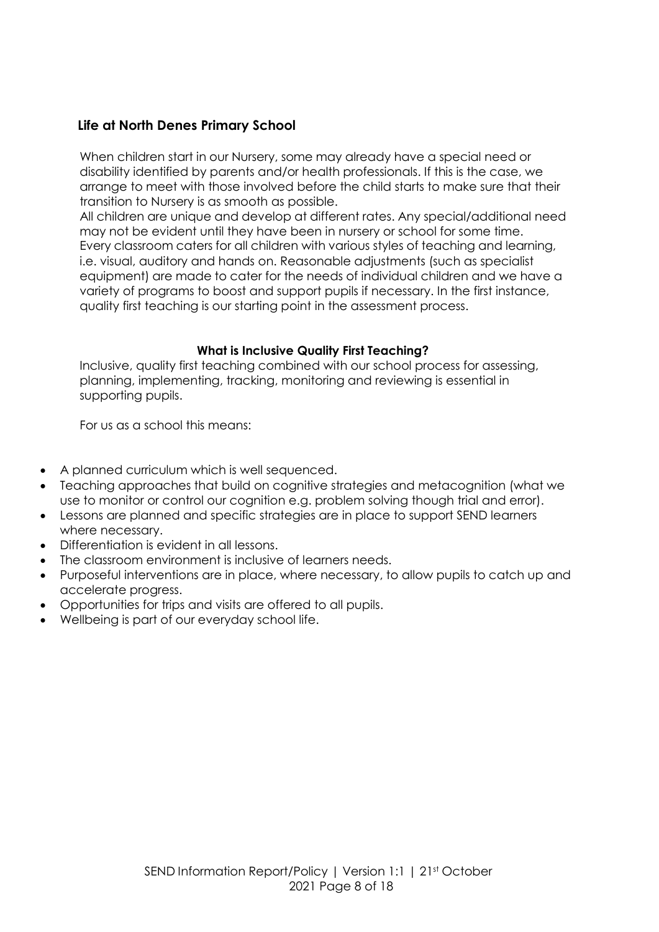### **Life at North Denes Primary School**

When children start in our Nursery, some may already have a special need or disability identified by parents and/or health professionals. If this is the case, we arrange to meet with those involved before the child starts to make sure that their transition to Nursery is as smooth as possible.

All children are unique and develop at different rates. Any special/additional need may not be evident until they have been in nursery or school for some time. Every classroom caters for all children with various styles of teaching and learning, i.e. visual, auditory and hands on. Reasonable adjustments (such as specialist equipment) are made to cater for the needs of individual children and we have a variety of programs to boost and support pupils if necessary. In the first instance, quality first teaching is our starting point in the assessment process.

#### **What is Inclusive Quality First Teaching?**

Inclusive, quality first teaching combined with our school process for assessing, planning, implementing, tracking, monitoring and reviewing is essential in supporting pupils.

For us as a school this means:

- A planned curriculum which is well sequenced.
- Teaching approaches that build on cognitive strategies and metacognition (what we use to monitor or control our cognition e.g. problem solving though trial and error).
- Lessons are planned and specific strategies are in place to support SEND learners where necessary.
- Differentiation is evident in all lessons.
- The classroom environment is inclusive of learners needs.
- Purposeful interventions are in place, where necessary, to allow pupils to catch up and accelerate progress.
- Opportunities for trips and visits are offered to all pupils.
- Wellbeing is part of our everyday school life.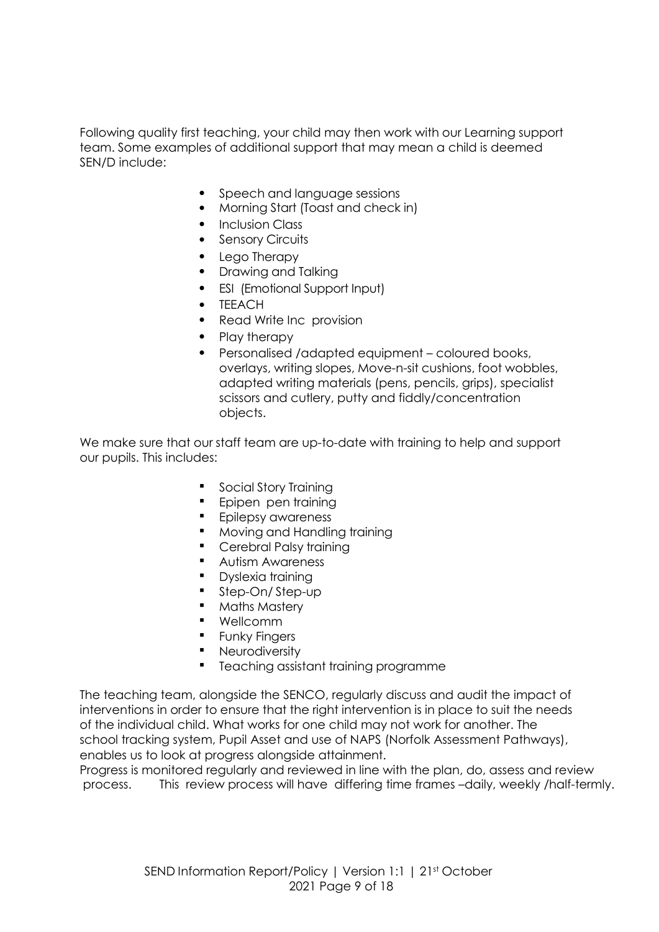Following quality first teaching, your child may then work with our Learning support team. Some examples of additional support that may mean a child is deemed SEN/D include:

- Speech and language sessions
- Morning Start (Toast and check in)
- Inclusion Class
- Sensory Circuits
- Lego Therapy
- Drawing and Talking
- ESI (Emotional Support Input)
- **TEEACH**
- Read Write Inc provision
- Play therapy
- Personalised /adapted equipment coloured books, overlays, writing slopes, Move-n-sit cushions, foot wobbles, adapted writing materials (pens, pencils, grips), specialist scissors and cutlery, putty and fiddly/concentration objects.

We make sure that our staff team are up-to-date with training to help and support our pupils. This includes:

- **Social Story Training**
- **Epipen pen training**
- **Epilepsy awareness**
- **Moving and Handling training**
- Cerebral Palsy training
- **Autism Awareness**
- **•** Dyslexia training
- Step-On/Step-up
- **Maths Mastery**
- Wellcomm
- **Funky Fingers**
- **Neurodiversity**
- Teaching assistant training programme

The teaching team, alongside the SENCO, regularly discuss and audit the impact of interventions in order to ensure that the right intervention is in place to suit the needs of the individual child. What works for one child may not work for another. The school tracking system, Pupil Asset and use of NAPS (Norfolk Assessment Pathways), enables us to look at progress alongside attainment.

Progress is monitored regularly and reviewed in line with the plan, do, assess and review process. This review process will have differing time frames –daily, weekly /half-termly.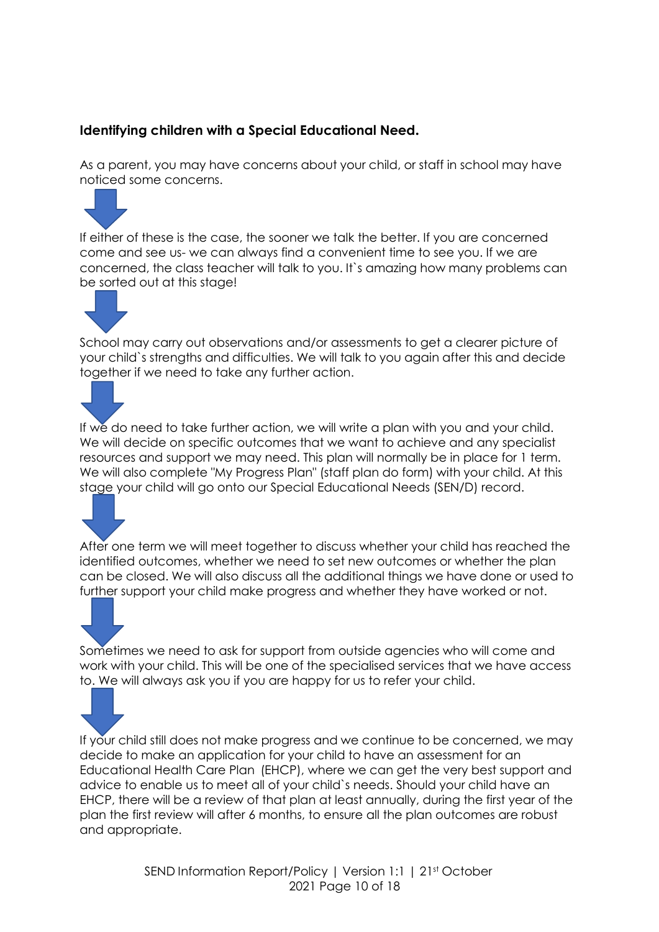# **Identifying children with a Special Educational Need.**

As a parent, you may have concerns about your child, or staff in school may have noticed some concerns.



If either of these is the case, the sooner we talk the better. If you are concerned come and see us- we can always find a convenient time to see you. If we are concerned, the class teacher will talk to you. It`s amazing how many problems can be sorted out at this stage!



School may carry out observations and/or assessments to get a clearer picture of your child`s strengths and difficulties. We will talk to you again after this and decide together if we need to take any further action.

If we do need to take further action, we will write a plan with you and your child. We will decide on specific outcomes that we want to achieve and any specialist resources and support we may need. This plan will normally be in place for 1 term. We will also complete "My Progress Plan" (staff plan do form) with your child. At this stage your child will go onto our Special Educational Needs (SEN/D) record.

After one term we will meet together to discuss whether your child has reached the identified outcomes, whether we need to set new outcomes or whether the plan can be closed. We will also discuss all the additional things we have done or used to further support your child make progress and whether they have worked or not.

Sometimes we need to ask for support from outside agencies who will come and work with your child. This will be one of the specialised services that we have access to. We will always ask you if you are happy for us to refer your child.

If your child still does not make progress and we continue to be concerned, we may decide to make an application for your child to have an assessment for an Educational Health Care Plan (EHCP), where we can get the very best support and advice to enable us to meet all of your child`s needs. Should your child have an EHCP, there will be a review of that plan at least annually, during the first year of the plan the first review will after 6 months, to ensure all the plan outcomes are robust and appropriate.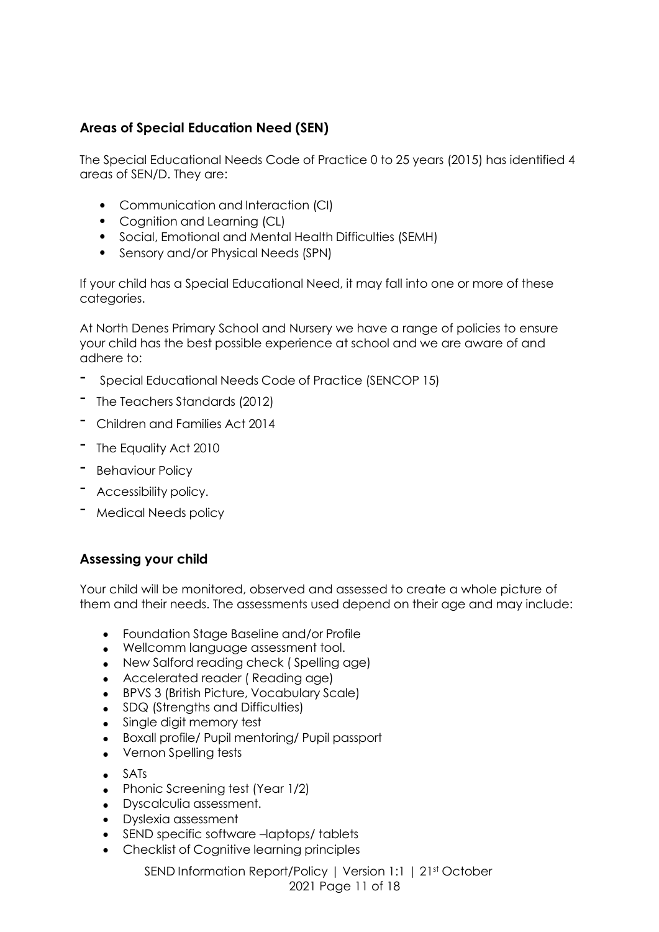# **Areas of Special Education Need (SEN)**

The Special Educational Needs Code of Practice 0 to 25 years (2015) has identified 4 areas of SEN/D. They are:

- Communication and Interaction (CI)
- Cognition and Learning (CL)
- Social, Emotional and Mental Health Difficulties (SEMH)
- Sensory and/or Physical Needs (SPN)

If your child has a Special Educational Need, it may fall into one or more of these categories.

At North Denes Primary School and Nursery we have a range of policies to ensure your child has the best possible experience at school and we are aware of and adhere to:

- Special Educational Needs Code of Practice (SENCOP 15)
- The Teachers Standards (2012)
- Children and Families Act <sup>2014</sup>
- The Equality Act <sup>2010</sup>
- Behaviour Policy
- Accessibility policy.
- Medical Needs policy

#### **Assessing your child**

Your child will be monitored, observed and assessed to create a whole picture of them and their needs. The assessments used depend on their age and may include:

- Foundation Stage Baseline and/or Profile
- Wellcomm language assessment tool.
- New Salford reading check ( Spelling age)
- Accelerated reader ( Reading age)
- BPVS 3 (British Picture, Vocabulary Scale)
- SDQ (Strengths and Difficulties)
- Single digit memory test
- Boxall profile/ Pupil mentoring/ Pupil passport
- Vernon Spelling tests
- $\bullet$  SATs
- Phonic Screening test (Year 1/2)
- Dyscalculia assessment.
- Dyslexia assessment
- SEND specific software –laptops/ tablets
- Checklist of Cognitive learning principles

SEND Information Report/Policy | Version 1:1 | 21st October 2021 Page 11 of 18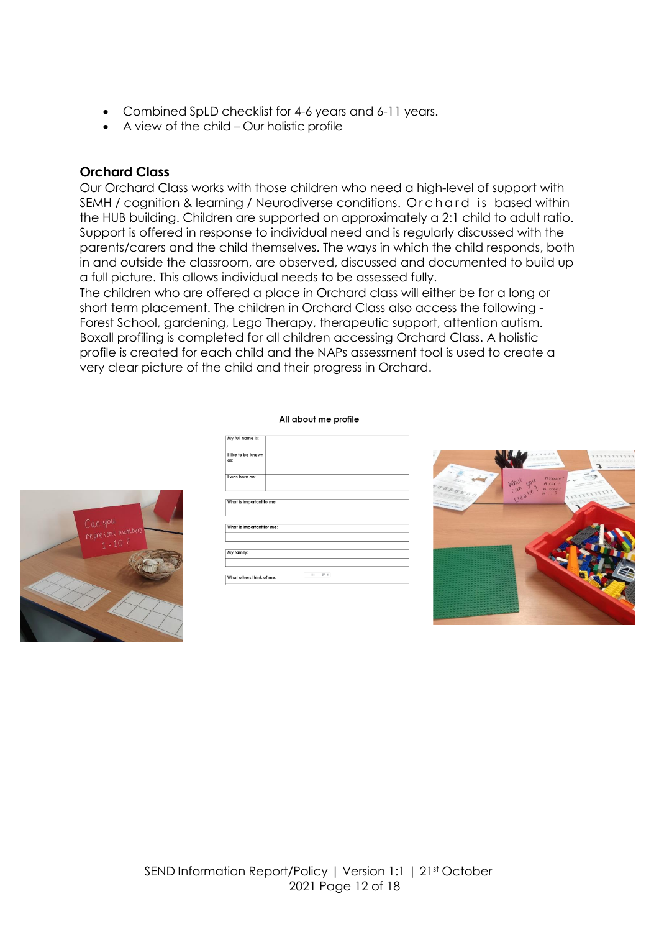- <span id="page-11-0"></span>Combined SpLD checklist for 4-6 years and 6-11 years.
- A view of the child Our holistic profile

### **Orchard Class**

Our Orchard Class works with those children who need a high-level of support with SEMH / cognition & learning / Neurodiverse conditions. Orchard is based within the HUB building. Children are supported on approximately a 2:1 child to adult ratio. Support is offered in response to individual need and is regularly discussed with the parents/carers and the child themselves. The ways in which the child responds, both in and outside the classroom, are observed, discussed and documented to build up a full picture. This allows individual needs to be assessed fully.

The children who are offered a place in Orchard class will either be for a long or short term placement. The children in Orchard Class also access the following - Forest School, gardening, Lego Therapy, therapeutic support, attention autism. Boxall profiling is completed for all children accessing Orchard Class. A holistic profile is created for each child and the NAPs assessment tool is used to create a very clear picture of the child and their progress in Orchard.

All about me profile

| My full name is:          |               |  |  |
|---------------------------|---------------|--|--|
| I like to be known<br>as: |               |  |  |
| I was born on:            |               |  |  |
|                           |               |  |  |
| What is important to me:  |               |  |  |
|                           |               |  |  |
|                           |               |  |  |
| What is important for me: |               |  |  |
|                           |               |  |  |
|                           |               |  |  |
| My family:                |               |  |  |
|                           |               |  |  |
|                           |               |  |  |
| What others think of me:  | 111<br>$57 +$ |  |  |

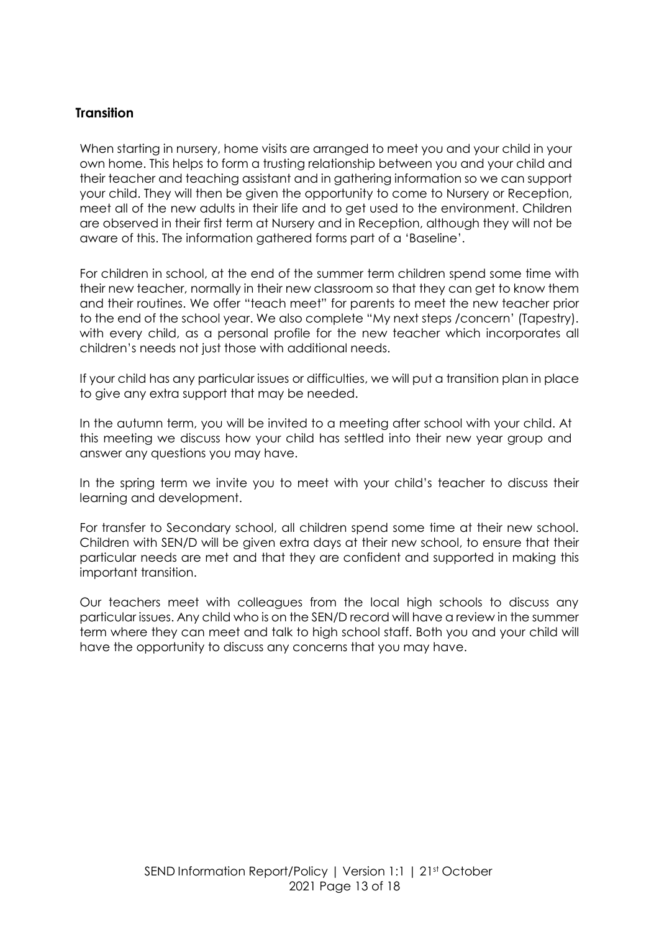### **Transition**

When starting in nursery, home visits are arranged to meet you and your child in your own home. This helps to form a trusting relationship between you and your child and their teacher and teaching assistant and in gathering information so we can support your child. They will then be given the opportunity to come to Nursery or Reception, meet all of the new adults in their life and to get used to the environment. Children are observed in their first term at Nursery and in Reception, although they will not be aware of this. The information gathered forms part of a 'Baseline'.

For children in school, at the end of the summer term children spend some time with their new teacher, normally in their new classroom so that they can get to know them and their routines. We offer "teach meet" for parents to meet the new teacher prior to the end of the school year. We also complete "My next steps /concern' (Tapestry). with every child, as a personal profile for the new teacher which incorporates all children's needs not just those with additional needs.

If your child has any particular issues or difficulties, we will put a transition plan in place to give any extra support that may be needed.

In the autumn term, you will be invited to a meeting after school with your child. At this meeting we discuss how your child has settled into their new year group and answer any questions you may have.

In the spring term we invite you to meet with your child's teacher to discuss their learning and development.

For transfer to Secondary school, all children spend some time at their new school. Children with SEN/D will be given extra days at their new school, to ensure that their particular needs are met and that they are confident and supported in making this important transition.

Our teachers meet with colleagues from the local high schools to discuss any particular issues. Any child who is on the SEN/D record will have a review in the summer term where they can meet and talk to high school staff. Both you and your child will have the opportunity to discuss any concerns that you may have.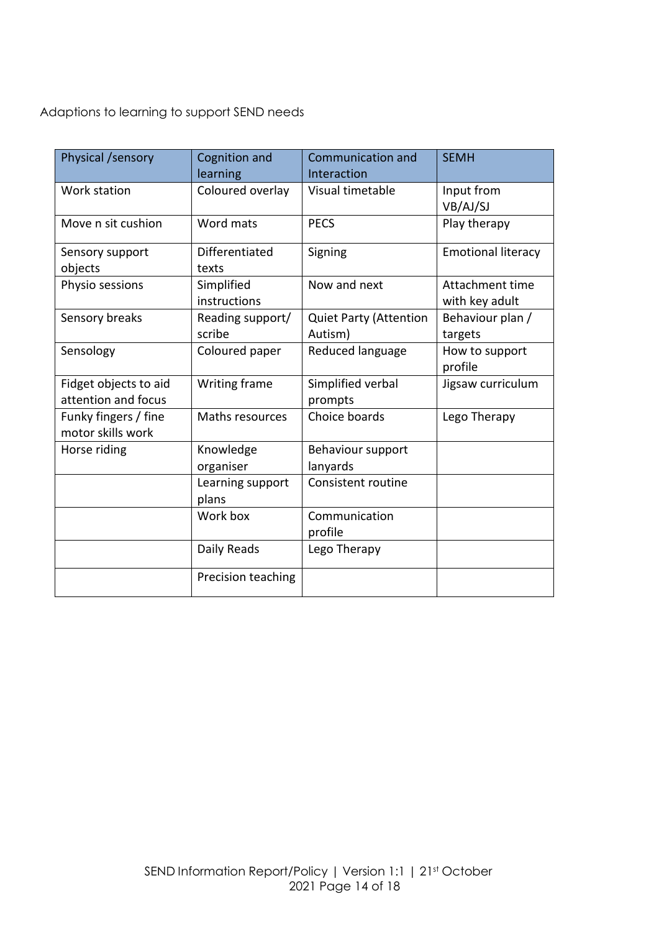Adaptions to learning to support SEND needs

| Physical /sensory                            | Cognition and<br>learning  | <b>Communication and</b><br>Interaction  | <b>SEMH</b>                       |
|----------------------------------------------|----------------------------|------------------------------------------|-----------------------------------|
| Work station                                 | Coloured overlay           | Visual timetable                         | Input from<br>VB/AJ/SJ            |
| Move n sit cushion                           | Word mats                  | <b>PECS</b>                              | Play therapy                      |
| Sensory support<br>objects                   | Differentiated<br>texts    | Signing                                  | <b>Emotional literacy</b>         |
| Physio sessions                              | Simplified<br>instructions | Now and next                             | Attachment time<br>with key adult |
| Sensory breaks                               | Reading support/<br>scribe | <b>Quiet Party (Attention</b><br>Autism) | Behaviour plan /<br>targets       |
| Sensology                                    | Coloured paper             | Reduced language                         | How to support<br>profile         |
| Fidget objects to aid<br>attention and focus | Writing frame              | Simplified verbal<br>prompts             | Jigsaw curriculum                 |
| Funky fingers / fine<br>motor skills work    | Maths resources            | Choice boards                            | Lego Therapy                      |
| Horse riding                                 | Knowledge<br>organiser     | Behaviour support<br>lanyards            |                                   |
|                                              | Learning support<br>plans  | Consistent routine                       |                                   |
|                                              | Work box                   | Communication<br>profile                 |                                   |
|                                              | Daily Reads                | Lego Therapy                             |                                   |
|                                              | Precision teaching         |                                          |                                   |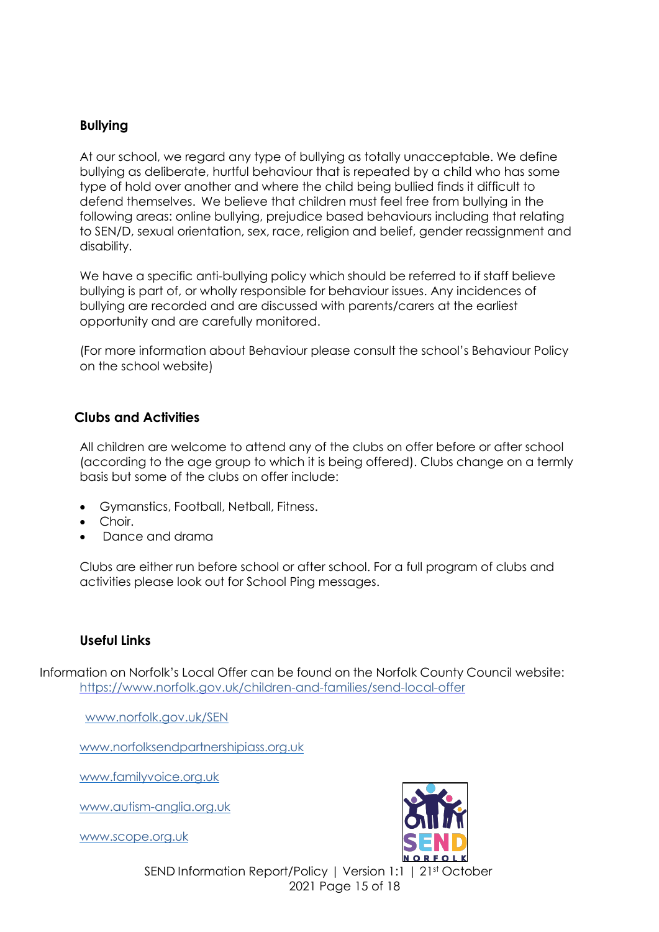### **Bullying**

At our school, we regard any type of bullying as totally unacceptable. We define bullying as deliberate, hurtful behaviour that is repeated by a child who has some type of hold over another and where the child being bullied finds it difficult to defend themselves. We believe that children must feel free from bullying in the following areas: online bullying, prejudice based behaviours including that relating to SEN/D, sexual orientation, sex, race, religion and belief, gender reassignment and disability.

We have a specific anti-bullying policy which should be referred to if staff believe bullying is part of, or wholly responsible for behaviour issues. Any incidences of bullying are recorded and are discussed with parents/carers at the earliest opportunity and are carefully monitored.

(For more information about Behaviour please consult the school's Behaviour Policy on the school website)

#### **Clubs and Activities**

All children are welcome to attend any of the clubs on offer before or after school (according to the age group to which it is being offered). Clubs change on a termly basis but some of the clubs on offer include:

- Gymanstics, Football, Netball, Fitness.
- Choir.
- Dance and drama

Clubs are either run before school or after school. For a full program of clubs and activities please look out for School Ping messages.

#### **Useful Links**

Information on Norfolk's Local Offer can be found on the Norfolk County Council website: <https://www.norfolk.gov.uk/children-and-families/send-local-offer>

[www.norfolk.gov.uk/SEN](http://www.norfolk.gov.uk/SEN)

[www.norfolksendpartnershipiass.org.uk](http://www.norfolksendpartnershipiass.org.uk/)

[www.familyvoice.org.uk](http://www.familyvoice.org.uk/)

[www.autism-anglia.org.uk](http://www.autism-anglia.org.uk/)

[www.scope.org.uk](http://www.scope.org.uk/)



SEND Information Report/Policy | Version 1:1 | 21st October 2021 Page 15 of 18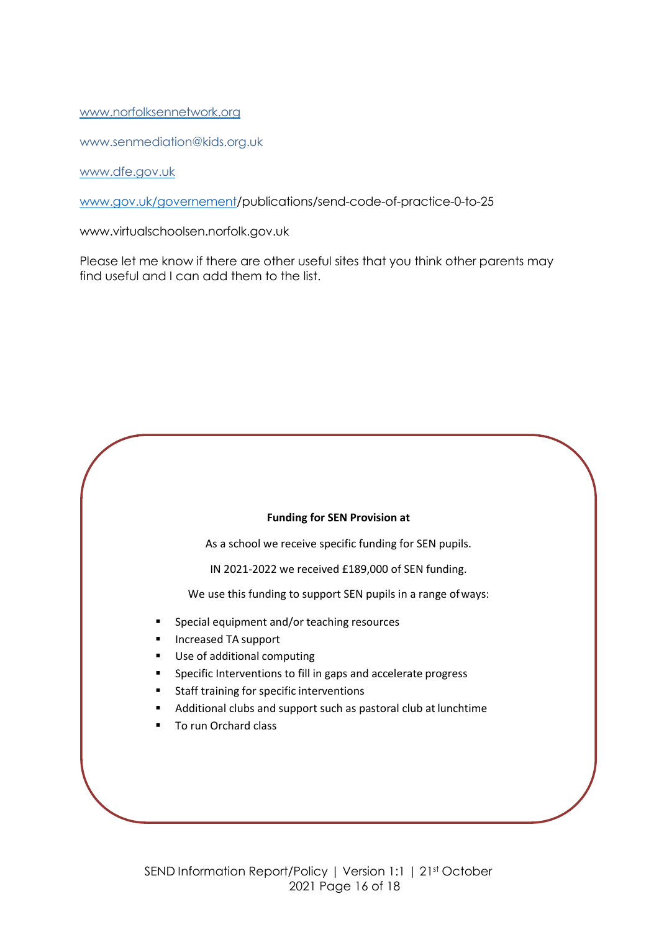#### [www.norfolksennetwork.org](http://www.norfolksennetwork.org/)

[www.senmediation@kids.org.uk](mailto:www.senmediation@kids.org.uk)

[www.dfe.gov.uk](http://www.dfe.gov.uk/)

[www.gov.uk/governement/publications/send-code-of-practice-0-to-25](http://www.gov.uk/governement/publications/send-code-of-practice-0-to-25)

[www.virtualschoolsen.norfolk.gov.uk](http://www.virtualschoolsen.norfolk.gov.uk/)

Please let me know if there are other useful sites that you think other parents may find useful and I can add them to the list.

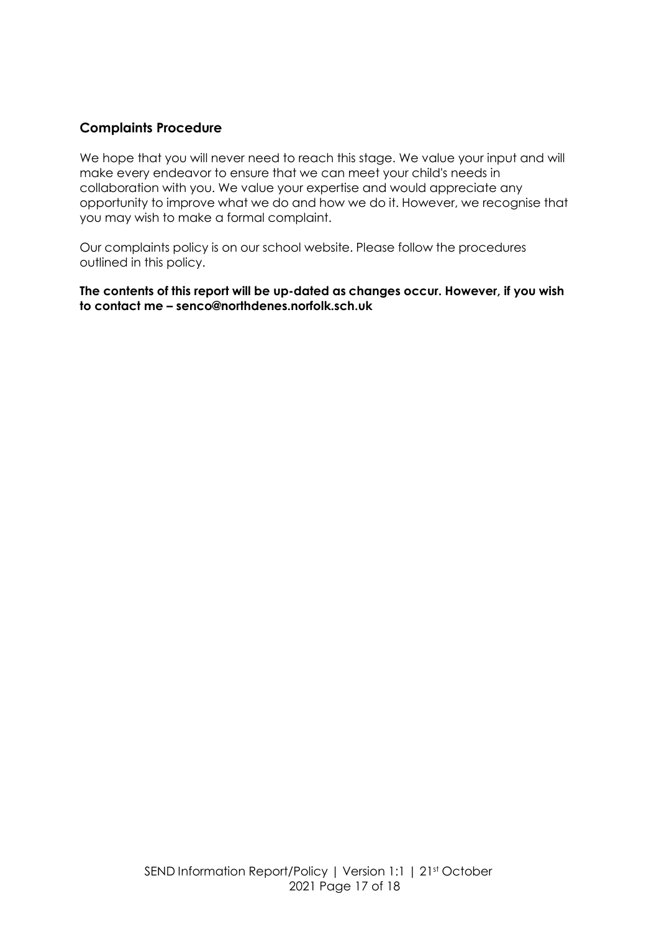# **Complaints Procedure**

We hope that you will never need to reach this stage. We value your input and will make every endeavor to ensure that we can meet your child's needs in collaboration with you. We value your expertise and would appreciate any opportunity to improve what we do and how we do it. However, we recognise that you may wish to make a formal complaint.

Our complaints policy is on our school website. Please follow the procedures outlined in this policy.

**The contents of this report will be up-dated as changes occur. However, if you wish to contact me – senco@northdenes.norfolk.sch.uk**